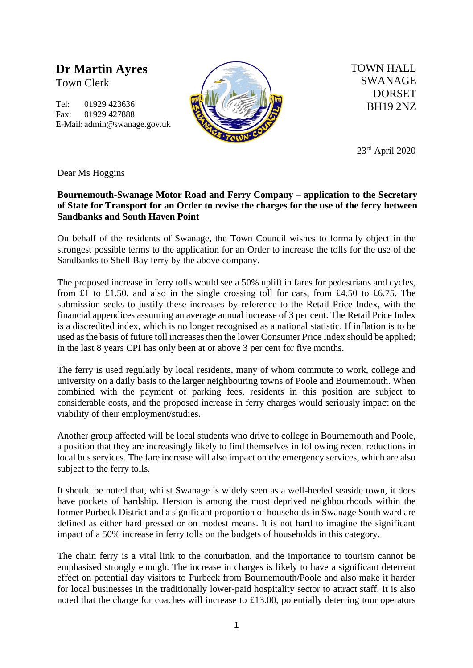**Dr Martin Ayres** Town Clerk

Tel: 01929 423636 Fax: 01929 427888 E-Mail: admin@swanage.gov.uk



TOWN HALL SWANAGE DORSET BH19 2NZ

23rd April 2020

Dear Ms Hoggins

## **Bournemouth-Swanage Motor Road and Ferry Company – application to the Secretary of State for Transport for an Order to revise the charges for the use of the ferry between Sandbanks and South Haven Point**

On behalf of the residents of Swanage, the Town Council wishes to formally object in the strongest possible terms to the application for an Order to increase the tolls for the use of the Sandbanks to Shell Bay ferry by the above company.

The proposed increase in ferry tolls would see a 50% uplift in fares for pedestrians and cycles, from £1 to £1.50, and also in the single crossing toll for cars, from £4.50 to £6.75. The submission seeks to justify these increases by reference to the Retail Price Index, with the financial appendices assuming an average annual increase of 3 per cent. The Retail Price Index is a discredited index, which is no longer recognised as a national statistic. If inflation is to be used as the basis of future toll increases then the lower Consumer Price Index should be applied; in the last 8 years CPI has only been at or above 3 per cent for five months.

The ferry is used regularly by local residents, many of whom commute to work, college and university on a daily basis to the larger neighbouring towns of Poole and Bournemouth. When combined with the payment of parking fees, residents in this position are subject to considerable costs, and the proposed increase in ferry charges would seriously impact on the viability of their employment/studies.

Another group affected will be local students who drive to college in Bournemouth and Poole, a position that they are increasingly likely to find themselves in following recent reductions in local bus services. The fare increase will also impact on the emergency services, which are also subject to the ferry tolls.

It should be noted that, whilst Swanage is widely seen as a well-heeled seaside town, it does have pockets of hardship. Herston is among the most deprived neighbourhoods within the former Purbeck District and a significant proportion of households in Swanage South ward are defined as either hard pressed or on modest means. It is not hard to imagine the significant impact of a 50% increase in ferry tolls on the budgets of households in this category.

The chain ferry is a vital link to the conurbation, and the importance to tourism cannot be emphasised strongly enough. The increase in charges is likely to have a significant deterrent effect on potential day visitors to Purbeck from Bournemouth/Poole and also make it harder for local businesses in the traditionally lower-paid hospitality sector to attract staff. It is also noted that the charge for coaches will increase to £13.00, potentially deterring tour operators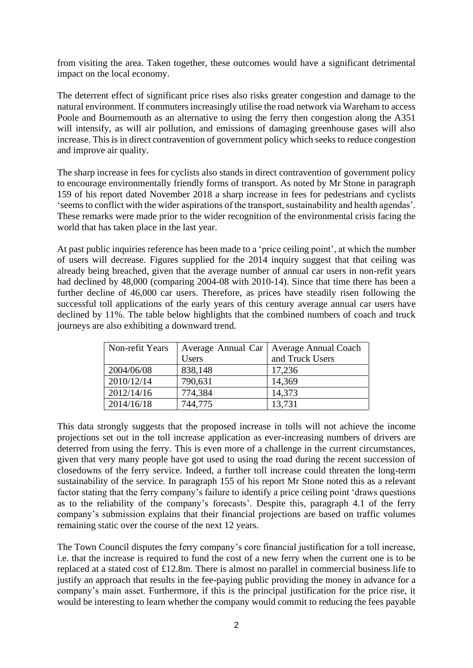from visiting the area. Taken together, these outcomes would have a significant detrimental impact on the local economy.

The deterrent effect of significant price rises also risks greater congestion and damage to the natural environment. If commuters increasingly utilise the road network via Wareham to access Poole and Bournemouth as an alternative to using the ferry then congestion along the A351 will intensify, as will air pollution, and emissions of damaging greenhouse gases will also increase. This is in direct contravention of government policy which seeks to reduce congestion and improve air quality.

The sharp increase in fees for cyclists also stands in direct contravention of government policy to encourage environmentally friendly forms of transport. As noted by Mr Stone in paragraph 159 of his report dated November 2018 a sharp increase in fees for pedestrians and cyclists 'seems to conflict with the wider aspirations of the transport, sustainability and health agendas'. These remarks were made prior to the wider recognition of the environmental crisis facing the world that has taken place in the last year.

At past public inquiries reference has been made to a 'price ceiling point', at which the number of users will decrease. Figures supplied for the 2014 inquiry suggest that that ceiling was already being breached, given that the average number of annual car users in non-refit years had declined by 48,000 (comparing 2004-08 with 2010-14). Since that time there has been a further decline of 46,000 car users. Therefore, as prices have steadily risen following the successful toll applications of the early years of this century average annual car users have declined by 11%. The table below highlights that the combined numbers of coach and truck journeys are also exhibiting a downward trend.

| Non-refit Years |              | Average Annual Car   Average Annual Coach |
|-----------------|--------------|-------------------------------------------|
|                 | <b>Users</b> | and Truck Users                           |
| 2004/06/08      | 838,148      | 17,236                                    |
| 2010/12/14      | 790,631      | 14,369                                    |
| 2012/14/16      | 774,384      | 14,373                                    |
| 2014/16/18      | 744,775      | 13,731                                    |

This data strongly suggests that the proposed increase in tolls will not achieve the income projections set out in the toll increase application as ever-increasing numbers of drivers are deterred from using the ferry. This is even more of a challenge in the current circumstances, given that very many people have got used to using the road during the recent succession of closedowns of the ferry service. Indeed, a further toll increase could threaten the long-term sustainability of the service. In paragraph 155 of his report Mr Stone noted this as a relevant factor stating that the ferry company's failure to identify a price ceiling point 'draws questions as to the reliability of the company's forecasts'. Despite this, paragraph 4.1 of the ferry company's submission explains that their financial projections are based on traffic volumes remaining static over the course of the next 12 years.

The Town Council disputes the ferry company's core financial justification for a toll increase, i.e. that the increase is required to fund the cost of a new ferry when the current one is to be replaced at a stated cost of £12.8m. There is almost no parallel in commercial business life to justify an approach that results in the fee-paying public providing the money in advance for a company's main asset. Furthermore, if this is the principal justification for the price rise, it would be interesting to learn whether the company would commit to reducing the fees payable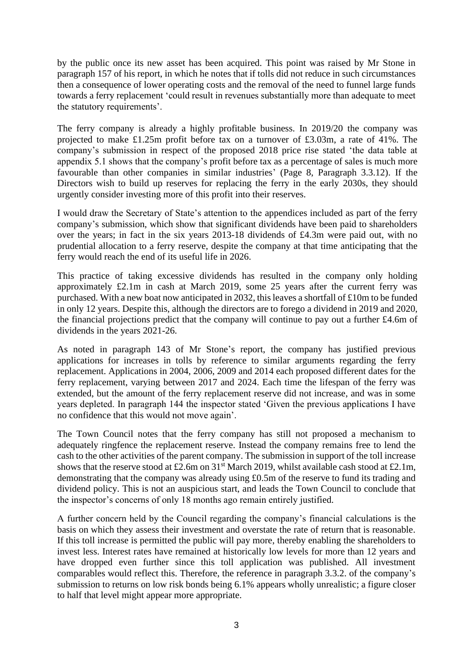by the public once its new asset has been acquired. This point was raised by Mr Stone in paragraph 157 of his report, in which he notes that if tolls did not reduce in such circumstances then a consequence of lower operating costs and the removal of the need to funnel large funds towards a ferry replacement 'could result in revenues substantially more than adequate to meet the statutory requirements'.

The ferry company is already a highly profitable business. In 2019/20 the company was projected to make £1.25m profit before tax on a turnover of £3.03m, a rate of 41%. The company's submission in respect of the proposed 2018 price rise stated 'the data table at appendix 5.1 shows that the company's profit before tax as a percentage of sales is much more favourable than other companies in similar industries' (Page 8, Paragraph 3.3.12). If the Directors wish to build up reserves for replacing the ferry in the early 2030s, they should urgently consider investing more of this profit into their reserves.

I would draw the Secretary of State's attention to the appendices included as part of the ferry company's submission, which show that significant dividends have been paid to shareholders over the years; in fact in the six years 2013-18 dividends of £4.3m were paid out, with no prudential allocation to a ferry reserve, despite the company at that time anticipating that the ferry would reach the end of its useful life in 2026.

This practice of taking excessive dividends has resulted in the company only holding approximately £2.1m in cash at March 2019, some 25 years after the current ferry was purchased. With a new boat now anticipated in 2032, this leaves a shortfall of £10m to be funded in only 12 years. Despite this, although the directors are to forego a dividend in 2019 and 2020, the financial projections predict that the company will continue to pay out a further £4.6m of dividends in the years 2021-26.

As noted in paragraph 143 of Mr Stone's report, the company has justified previous applications for increases in tolls by reference to similar arguments regarding the ferry replacement. Applications in 2004, 2006, 2009 and 2014 each proposed different dates for the ferry replacement, varying between 2017 and 2024. Each time the lifespan of the ferry was extended, but the amount of the ferry replacement reserve did not increase, and was in some years depleted. In paragraph 144 the inspector stated 'Given the previous applications I have no confidence that this would not move again'.

The Town Council notes that the ferry company has still not proposed a mechanism to adequately ringfence the replacement reserve. Instead the company remains free to lend the cash to the other activities of the parent company. The submission in support of the toll increase shows that the reserve stood at £2.6m on  $31<sup>st</sup>$  March 2019, whilst available cash stood at £2.1m, demonstrating that the company was already using £0.5m of the reserve to fund its trading and dividend policy. This is not an auspicious start, and leads the Town Council to conclude that the inspector's concerns of only 18 months ago remain entirely justified.

A further concern held by the Council regarding the company's financial calculations is the basis on which they assess their investment and overstate the rate of return that is reasonable. If this toll increase is permitted the public will pay more, thereby enabling the shareholders to invest less. Interest rates have remained at historically low levels for more than 12 years and have dropped even further since this toll application was published. All investment comparables would reflect this. Therefore, the reference in paragraph 3.3.2. of the company's submission to returns on low risk bonds being 6.1% appears wholly unrealistic; a figure closer to half that level might appear more appropriate.